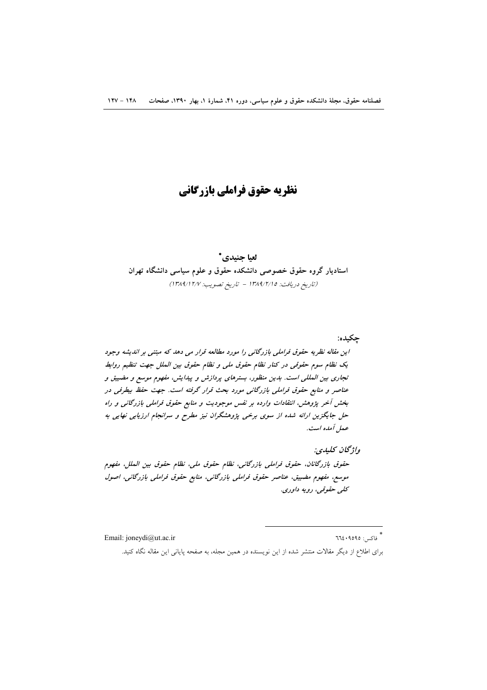# نظريه حقوق فراملي بازرگاني

## لعيا جنيدي\* استادیار گروه حقوق خصوصی دانشکده حقوق و علوم سیاسی دانشگاه تهران (تاريخ دريافت: ١٣٨٩/٢/١٥ - تاريخ تصويب: ١٣٨٩/١٢/٧)

این مقاله نظریه حقوق فراملی بازرگانی را مورد مطالعه قرار می دهد که مبتنی بر اندیشه وجود یک نظام سوم حقوقی در کنار نظام حقوق ملی و نظام حقوق بین الملل جهت تنظیم روابط تجاری بین المللی است. بدین منظور، بسترهای پردازش و پیدایش، مفهوم موسع و مضییق و عناصر و منابع حقوق فراملی بازرگانی مورد بحث قرار گرفته است. جهت حفظ بیطرفی در بخش آخر پژوهش، انتقادات وارده بر نفس موجودیت و منابع حقوق فراملی بازرگانی و راه حل جایگزین ارائه شده از سوی برخی پژوهشگران نیز مطرح و سرانجام ارزیابی نهایی به ععل أمده است.

واژگان كىلىدى: حقوق بازرگانان، حقوق فراملي بازرگاني، نظام حقوق ملي، نظام حقوق بين الملل، مفهوم موسع، مفهوم مضییق، عناصر حقوق فراملی بازرگانی، منابع حقوق فراملی بازرگانی، اصول کلي حقوقي، رويه داوري.

Email: joneydi@ut.ac.ir

\* فاكس: ٦٦٤٠٩٥٩٥

جكبده:

برای اطلاع از دیگر مقالات منتشر شده از این نویسنده در همین مجله، به صفحه پایانی این مقاله نگاه کنید.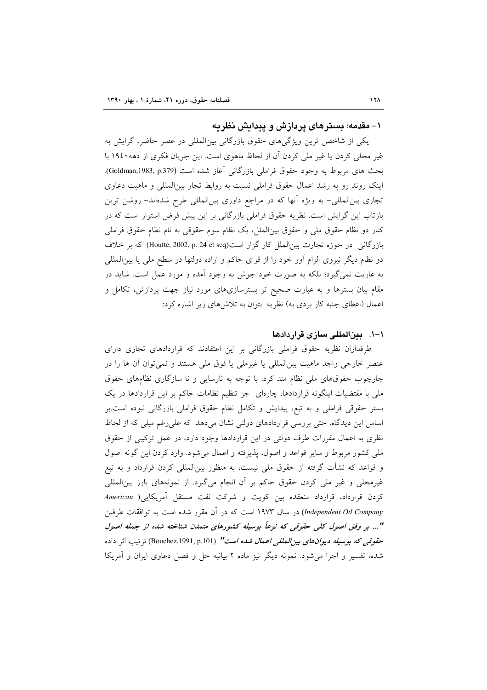#### ۱– مقدمه: بستر های پر دازش و پیدایش نظر به

یکی از شاخص ترین ویژگیهای حقوق بازرگانی بین|لمللی در عصر حاضر، گرایش به غیر محلی کردن یا غیر ملی کردن آن از لحاظ ماهوی است. این جریان فکری از دهه ۱۹٤۰ با بحث های مربوط به وجود حقوق فراملی بازرگانی آغاز شده است (Goldman,1983, p.379). اینک روند رو به رشد اعمال حقوق فراملی نسبت به روابط تجار بین|لمللی و ماهیت دعاوی تجاری بینالمللی– به ویژه آنها که در مراجع داوری بینالمللی طرح شدهاند– روشن ترین بازتاب این گرایش است. نظریه حقوق فراملی بازرگانی بر این پیش فرض استوار است که در كنار دو نظام حقوق ملي و حقوق بين|لملل، يك نظام سوم حقوقي به نام نظام حقوق فراملي بازرگانی در حوزه تجارت بین|لملل کار گزار است(Houtte, 2002, p. 24 et seq) که بر خلاف دو نظام دیگر نیروی الزام اَور خود را از قوای حاکم و اراده دولتها در سطح ملی یا بین|لمللی به عاریت نمیگیرد؛ بلکه به صورت خود جوش به وجود آمده و مورد عمل است. شاید در مقام بیان بسترها و به عبارت صحیح تر بسترسازیهای مورد نیاز جهت پردازش، تکامل و اعمال (اعطای جنبه کار بردی به) نظریه بتوان به تلاشهای زیر اشاره کرد:

#### ١–١. - بينالمللي سازي قراردادها

طرفداران نظریه حقوق فراملی بازرگانی بر این اعتقادند که قراردادهای تجاری دارای عنصر خارجي واجد ماهيت بين|لمللي يا غيرملي يا فوق ملي هستند و نمي توان آن ها را در چارچوب حقوق های ملی نظام مند کرد. با توجه به نارسایی و نا سازگاری نظامهای حقوق ملی با مقتضیات اینگونه قراردادها، چارهای جز تنظیم نظامات حاکم بر این قراردادها در یک بستر حقوقی فراملی و به تبع، پیدایش و تکامل نظام حقوق فراملی بازرگانی نبوده است.بر اساس این دیدگاه، حتی بررسی قراردادهای دولتی نشان میدهد که علی رغم میلی که از لحاظ نظری به اعمال مقررات طرف دولتی در این قراردادها وجود دارد، در عمل ترکیبی از حقوق ملي كشور مربوط و ساير قواعد و اصول، پذيرفته و اعمال مي شود. وارد كردن اين گونه اصول و قواعد که نشأت گرفته از حقوق ملی نیست، به منظور بین|لمللی کردن قرارداد و به تبع غیرمحلی و غیر ملی کردن حقوق حاکم بر آن انجام میگیرد. از نمونههای بارز بینالمللی کردن قرارداد، قرارداد منعقده بین کویت و شرکت نفت مستقل آمریکایی( American Independent Oil Company) در سال ۱۹۷۳ است که در آن مقرر شده است به توافقات طرفین "... بر وفق اصول کلی حقوقی که نوعاً بوسیله کشورهای متمدن شناخته شده از جمله اصول حق*وقی که بوسیله دیوانهای بین المللی اعمال شده است" (*Bouchez,1991, p.101) ترتیب اثر داده شده، تفسیر و اجرا می شود. نمونه دیگر نیز ماده ۲ بیانیه حل و فصل دعاوی ایران و آمریکا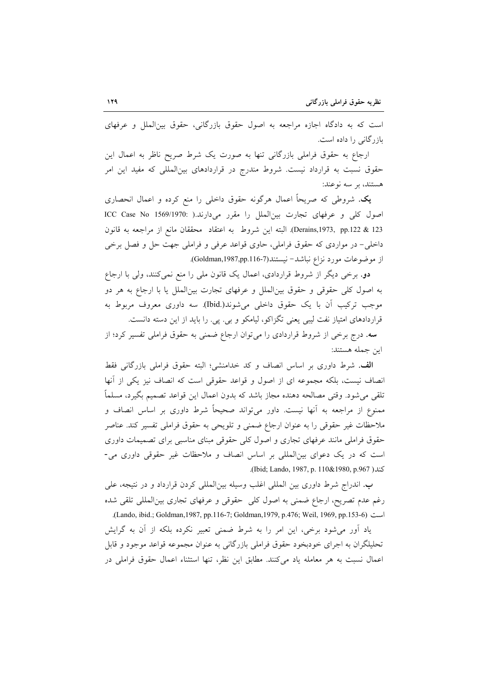است که به دادگاه اجازه مراجعه به اصول حقوق بازرگانی، حقوق بینالملل و عرفهای بازر گانی را داده است.

ارجاع به حقوق فراملی بازرگانی تنها به صورت یک شرط صریح ناظر به اعمال این حقوق نسبت به قرارداد نیست. شروط مندرج در قراردادهای بین المللی که مفید این امر هستند، بر سه نوعند:

**یک**. شروطی که صریحاً اعمال هرگونه حقوق داخلی را منع کرده و اعمال انحصاری اصول كلي و عرفهاي تجارت بين الملل را مقرر مي دارند.( :1569/1970 ICC Case No Derains,1973, pp.122 & 123). البته اين شروط به اعتقاد محققان مانع از مراجعه به قانون داخلي- در مواردي كه حقوق فراملي، حاوي قواعد عرفي و فراملي جهت حل و فصل برخي از موضوعات مورد نزاع نباشد-نيستند(Goldman,1987,pp.116-7).

دو. برخی دیگر از شروط قراردادی، اعمال یک قانون ملی را منع نمیکنند، ولی با ارجاع به اصول کلی حقوقی و حقوق بینالملل و عرفهای تجارت بینالملل یا با ارجاع به هر دو موجب ترکیب اَن با یک حقوق داخلی میشوند(.Ibid). سه داوری معروف مربوط به قراردادهای امتیاز نفت لیبی یعنی تگزاکو، لیامکو و بی. پی. را باید از این دسته دانست.

سه. درج برخی از شروط قراردادی را میتوان ارجاع ضمنی به حقوق فراملی تفسیر کرد؛ از اين جمله هستند:

الف. شرط داوري بر اساس انصاف و كد خدامنشي؛ البته حقوق فراملي بازرگاني فقط انصاف نیست، بلکه مجموعه ای از اصول و قواعد حقوقی است که انصاف نیز یکی از آنها تلقی میشود. وقتی مصالحه دهنده مجاز باشد که بدون اعمال این قواعد تصمیم بگیرد، مسلماً ممنوع از مراجعه به آنها نیست. داور می تواند صحیحاً شرط داوری بر اساس انصاف و ملاحظات غیر حقوقی را به عنوان ارجاع ضمنی و تلویحی به حقوق فراملی تفسیر کند. عناصر حقوق فراملی مانند عرفهای تجاری و اصول کلی حقوقی مبنای مناسبی برای تصمیمات داوری است که در یک دعوای بین المللی بر اساس انصاف و ملاحظات غیر حقوقی داوری می-كند ( Ibid; Lando, 1987, p. 110&1980, p.967).

ب. اندراج شرط داوری بین المللی اغلب وسیله بین|لمللی کردن قرارداد و در نتیجه، علی رغم عدم تصریح، ارجاع ضمنی به اصول کلی حقوقی و عرفهای تجاری بین|لمللی تلقی شده است (Lando, ibid.; Goldman, 1987, pp. 116-7; Goldman, 1979, p. 476; Weil, 1969, pp. 153-6).

یاد آور می شود برخی، این امر را به شرط ضمنی تعبیر نکرده بلکه از آن به گرایش تحليلگران به اجراي خودبخود حقوق فراملي بازرگاني به عنوان مجموعه قواعد موجود و قابل اعمال نسبت به هر معامله ياد مى كنند. مطابق اين نظر، تنها استثناء اعمال حقوق فراملي در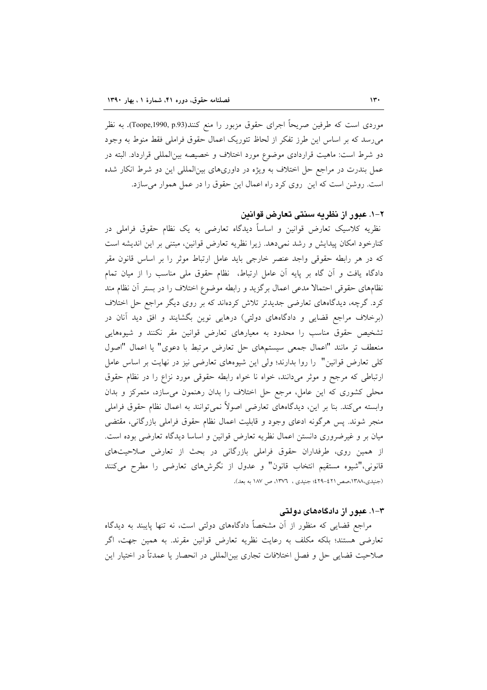موردی است که طرفین صریحاً اجرای حقوق مزبور را منع کنند(Toope,1990, p.93). به نظر می رسد که بر اساس این طرز تفکر از لحاظ تئوریک اعمال حقوق فراملی فقط منوط به وجود دو شرط است: ماهیت قراردادی موضوع مورد اختلاف و خصیصه بین|لمللی قرارداد. البته در عمل بندرت در مراجع حل اختلاف به ویژه در داوریهای بینالمللی این دو شرط انکار شده است. روشن است كه اين روى كرد راه اعمال اين حقوق را در عمل هموار مى سازد.

#### ۲–۱. عبور از نظریه سنتی تعارض قوانین

نظریه کلاسیک تعارض قوانین و اساساً دیدگاه تعارضی به یک نظام حقوق فراملی در كنارخود امكان پيدايش و رشد نمى دهد. زيرا نظريه تعارض قوانين، مبتنى بر اين انديشه است که در هر رابطه حقوقی واجد عنصر خارجی باید عامل ارتباط موثر را بر اساس قانون مقر دادگاه یافت و آن گاه بر پایه آن عامل ارتباط، نظام حقوق ملی مناسب را از میان تمام نظامهای حقوقی احتمالا مدعی اعمال برگزید و رابطه موضوع اختلاف را در بستر آن نظام مند کرد. گرچه، دیدگاههای تعارضی جدیدتر تلاش کردهاند که بر روی دیگر مراجع حل اختلاف (برخلاف مراجع قضایی و دادگاههای دولتی) درهایی نوین بگشایند و افق دید آنان در تشخیص حقوق مناسب را محدود به معیارهای تعارض قوانین مقر نکنند و شیوههایی منعطف تر مانند "اعمال جمعی سیستمهای حل تعارض مرتبط با دعوی" یا اعمال "اصول کلی تعارض قوانین" را روا بدارند؛ ولی این شیوههای تعارضی نیز در نهایت بر اساس عامل ارتباطی که مرجح و موثر میدانند، خواه نا خواه رابطه حقوقی مورد نزاع را در نظام حقوق محلی کشوری که این عامل، مرجع حل اختلاف را بدان رهنمون می سازد، متمرکز و بدان وابسته میکند. بنا بر این، دیدگاههای تعارضی اصولاً نمیتوانند به اعمال نظام حقوق فراملی منجر شوند. پس هرگونه ادعای وجود و قابلیت اعمال نظام حقوق فراملی بازرگانی، مقتضی میان بر و غیرضروری دانستن اعمال نظریه تعارض قوانین و اساسا دیدگاه تعارضی بوده است. از همین روی، طرفداران حقوق فراملی بازرگانی در بحث از تعارض صلاحیتهای قانونی،"شیوه مستقیم انتخاب قانون" و عدول از نگرشهای تعارضی را مطرح می کنند (جنیدی،١٣٨٨،صص ٤٢١-٤٢٩؛ جنیدی ، ١٣٧٦، ص ١٨٧ به بعد).

#### ۳–۱. عبور از دادگاههای دولتی

مراجع قضایی که منظور از آن مشخصاً دادگاههای دولتی است، نه تنها پایبند به دیدگاه تعارضی هستند؛ بلکه مکلف به رعایت نظریه تعارض قوانین مقرند. به همین جهت، اگر صلاحیت قضایی حل و فصل اختلافات تجاری بین|لمللی در انحصار یا عمدتاً در اختیار این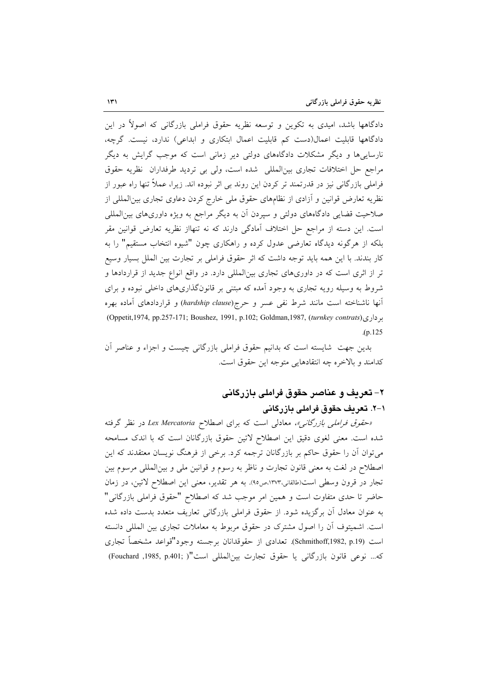دادگاهها باشد، امیدی به تکوین و توسعه نظریه حقوق فراملی بازرگانی که اصولاً در این دادگاهها قابلیت اعمال(دست کم قابلیت اعمال ابتکاری و ابداعی) ندارد، نیست. گرچه، نارساییها و دیگر مشکلات دادگاههای دولتی دیر زمانی است که موجب گرایش به دیگر مراجع حل اختلافات تجارى بين المللي شده است، ولي بي ترديد طرفداران نظريه حقوق فراملی بازرگانی نیز در قدرتمند تر کردن این روند بی اثر نبوده اند. زیرا، عملاً تنها راه عبور از نظریه تعارض قوانین و آزادی از نظامهای حقوق ملی خارج کردن دعاوی تجاری بین|لمللی از صلاحیت قضایی دادگاههای دولتی و سپردن آن به دیگر مراجع به ویژه داوریهای بین|لمللی است. این دسته از مراجع حل اختلاف آمادگی دارند که نه تنهااز نظریه تعارض قوانین مقر بلکه از هرگونه دیدگاه تعارضی عدول کرده و راهکاری چون "شیوه انتخاب مستقیم" را به کار بندند. با این همه باید توجه داشت که اثر حقوق فراملی بر تجارت بین الملل بسیار وسیع تر از اثری است که در داوریهای تجاری بینالمللی دارد. در واقع انواع جدید از قراردادها و شروط به وسیله رویه تجاری به وجود اَمده که مبتنی بر قانونگذاریهای داخلی نبوده و برای آنها ناشناخته است مانند شرط نفي عسر و حرج(hardship clause) و قراردادهاى آماده بهره برداری(Oppetit, 1974, pp.257-171; Boushez, 1991, p.102; Goldman, 1987, (turnkey contrats)  $(p.125)$ 

بدین جهت شایسته است که بدانیم حقوق فراملی بازرگانی چیست و اجزاء و عناصر آن كدامند و بالاخره چه انتقادهایی متوجه این حقوق است.

## ۲– تعریف و عناصر حقوق فراملی بازرگانی ۱–۲. تعریف حقوق فراملی بازرگانی

«حقوق فراملی بازرگانی»، معادلی است که برای اصطلاح Lex Mercatoria در نظر گرفته شده است. معنی لغوی دقیق این اصطلاح لاتین حقوق بازرگانان است که با اندک مسامحه میتوان آن را حقوق حاکم بر بازرگانان ترجمه کرد. برخی از فرهنگ نویسان معتقدند که این اصطلاح در لغت به معنى قانون تجارت و ناظر به رسوم و قوانين ملي و بينالمللي مرسوم بين تجار در قرون وسطى است(طالقانى،١٣٧٣،ص٥١). به هر تقدير، معنى اين اصطلاح لاتين، در زمان حاضر تا حدی متفاوت است و همین امر موجب شد که اصطلاح "حقوق فراملی بازرگانی" به عنوان معادل آن برگزیده شود. از حقوق فراملی بازرگانی تعاریف متعدد بدست داده شده است. اشمیتوف آن را اصول مشترک در حقوق مربوط به معاملات تجاری بین المللی دانسته است (Schmithoff,1982, p.19). تعدادي از حقوقدانان برجسته وجود"قواعد مشخصاً تجاري كه... نوعي قانون بازرگاني يا حقوق تجارت بينالمللي است"( ;Fouchard ,1985, p.401)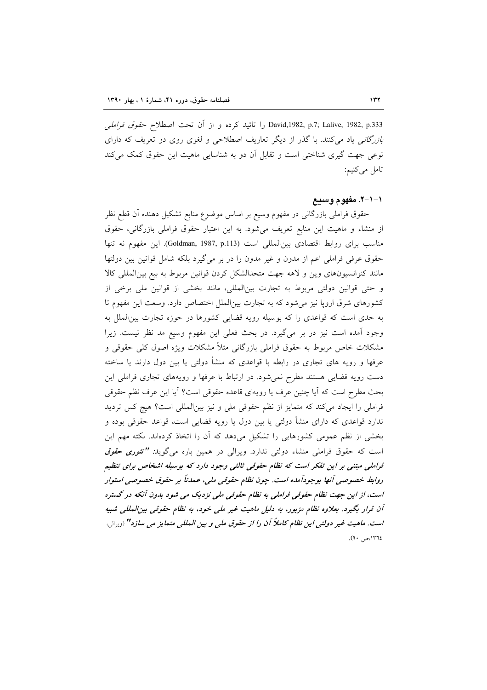David,1982, p.7; Lalive, 1982, p.333 را تائيد كرده و از آن تحت اصطلاح ح*قوق فراملي* بازرگانی یاد میکنند. با گذر از دیگر تعاریف اصطلاحی و لغوی روی دو تعریف که دارای نوعی جهت گیری شناختی است و تقابل آن دو به شناسایی ماهیت این حقوق کمک میکند تامل می کنیم:

#### ۱–۱–۲. مفهوم وسیع

حقوق فراملی بازرگانی در مفهوم وسیع بر اساس موضوع منابع تشکیل دهنده أن قطع نظر از منشاء و ماهیت این منابع تعریف میشود. به این اعتبار حقوق فراملی بازرگانی، حقوق مناسب براي روابط اقتصادي بين المللي است (Goldman, 1987, p.113). اين مفهوم نه تنها حقوق عرفی فراملی اعم از مدون و غیر مدون را در بر میگیرد بلکه شامل قوانین بین دولتها مانند کنوانسیونهای وین و لاهه جهت متحدالشکل کردن قوانین مربوط به بیع بین المللی کالا و حتى قوانين دولتى مربوط به تجارت بينالمللي، مانند بخشى از قوانين ملى برخى از کشورهای شرق اروپا نیز میشود که به تجارت بین|لملل اختصاص دارد. وسعت این مفهوم تا به حدی است که قواعدی را که بوسیله رویه قضایی کشورها در حوزه تجارت بین الملل به وجود آمده است نیز در بر میگیرد. در بحث فعلی این مفهوم وسیع مد نظر نیست. زیرا مشکلات خاص مربوط به حقوق فراملی بازرگانی مثلاً مشکلات ویژه اصول کلی حقوقی و عرفها و رویه های تجاری در رابطه با قواعدی که منشأ دولتی یا بین دول دارند یا ساخته دست رویه قضایی هستند مطرح نمیشود. در ارتباط با عرفها و رویههای تجاری فراملی این بحث مطرح است كه آيا چنين عرف يا رويهاى قاعده حقوقى است؟ آيا اين عرف نظم حقوقى فراملی را ایجاد میکند که متمایز از نظم حقوقی ملی و نیز بین المللی است؟ هیچ کس تردید ندارد قواعدی که دارای منشأ دولتی یا بین دول یا رویه قضایی است، قواعد حقوقی بوده و بخشی از نظم عمومی کشورهایی را تشکیل می دهد که آن را اتخاذ کردهاند. نکته مهم این است که حقوق فراملی منشاء دولتی ندارد. ویرالی در همین باره میگوید*: "تئوری حقوق* فراملی مبتنی بر این تفکر است که نظام حقوقی ثالثی وجود دارد که بوسیله اشخاص برای تنظیم روابط خصوصي آنها بوجودآمده است. جون نظام حقوقي ملي، عمدناً بر حقوق خصوصي استوار است، از این جهت نظام حقوقی فراملی به نظام حقوقی ملی نزدیک می شود بدون آنکه در گستره آن قرار بگیرد. بعلاوه نظام مزبور، به دلیل ماهیت غیر ملی خود، به نظام حقوقی بین المللی شبیه است. ماهیت غیر دولتی این نظام کاملاً آن را از حقوق ملی و بین المللی متمایز می سازد" <sub>(ویرالی</sub>، ١٣٦٤،ص ٩٠).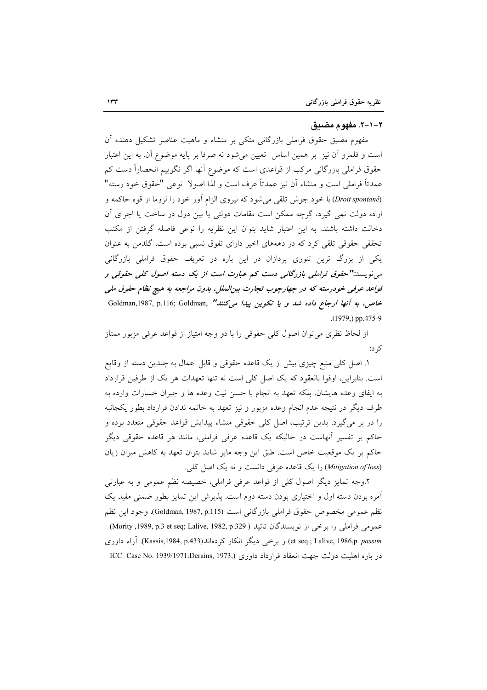#### ٢–١-٢. مفهوم مضبق

مفهوم مضیق حقوق فراملی بازرگانی متکی بر منشاء و ماهیت عناصر تشکیل دهنده آن است و قلمرو أن نيز بر همين اساس تعيين مي¢ود نه صرفا بر پايه موضوع أن به اين اعتبار حقوق فراملی بازرگانی مرکب از قواعدی است که موضوع آنها اگر نگوییم انحصاراً دست کم عمدتاً فراملي است و منشاء أن نيز عمدتاً عرف است و لذا اصولا نوعي "حقوق خود رسته" (Droit spontané) یا خود جوش تلقی می شود که نیروی الزام آور خود را لزوما از قوه حاکمه و اراده دولت نمی گیرد، گرچه ممکن است مقامات دولتی یا بین دول در ساخت یا اجرای آن دخالت داشته باشند. به این اعتبار شاید بتوان این نظریه را نوعی فاصله گرفتن از مکتب تحققی حقوقی تلقی کرد که در دهههای اخیر دارای تفوق نسبی بوده است. گلدمن به عنوان یکی از بزرگ ترین تئوری پردازان در این باره در تعریف حقوق فراملی بازرگانی می نویسد:"حقوق فراملی بازرگانی دست کم عبارت است از یک دسته اصول کلی حقوقی و قواعد عرفی خودرسته که در چهارچوب تجارت بینالملل، بدون مراجعه به هیچ نظام حقوق ملی خاص، به آنها ارجاع داده شد و یا تکوین پیدا میکنند" Goldman, 1987, p.116; Goldman, " .(1979,) pp.475-9

از لحاظ نظری می توان اصول کلی حقوقی را با دو وجه امتیاز از قواعد عرفی مزبور ممتاز کہ د:

١. اصل كلي منبع چيزي بيش از يک قاعده حقوقي و قابل اعمال به چندين دسته از وقايع است. بنابراین، اوفوا بالعقود که یک اصل کلی است نه تنها تعهدات هر یک از طرفین قرارداد به ایفای وعده هایشان، بلکه تعهد به انجام با حسن نیت وعده ها و جبران خسارات وارده به طرف دیگر در نتیجه عدم انجام وعده مزبور و نیز تعهد به خاتمه ندادن قرارداد بطور یکجانبه را در بر میگیرد. بدین ترتیب، اصل کلی حقوقی منشاء پیدایش قواعد حقوقی متعدد بوده و حاکم بر تفسیر آنهاست در حالیکه یک قاعده عرفی فراملی، مانند هر قاعده حقوقی دیگر حاکم بر یک موقعیت خاص است. طبق این وجه مایز شاید بتوان تعهد به کاهش میزان زیان (Mitigation of loss) را یک قاعده عرفی دانست و نه یک اصل کلی.

۲.وجه تمایز دیگر اصول کلی از قواعد عرفی فراملی، خصیصه نظم عمومی و به عبارتی أمره بودن دسته اول و اختیاری بودن دسته دوم است. پذیرش این تمایز بطور ضمنی مفید یک نظم عمومي مخصوص حقوق فراملي بازرگاني است (Goldman, 1987, p.115). وجود اين نظم عمومي فراملي را برخي از نويسندگان تائيد ( Mority ,1989, p.3 et seq; Lalive, 1982, p.329) et seq.; Lalive, 1986,p. passim) و برخمي ديگر انكار كردهاند(Kassis,1984, p.433). آراء داوري در باره اهلیت دولت جهت انعقاد قرارداد داوری (ICC Case No. 1939/1971:Derains, 1973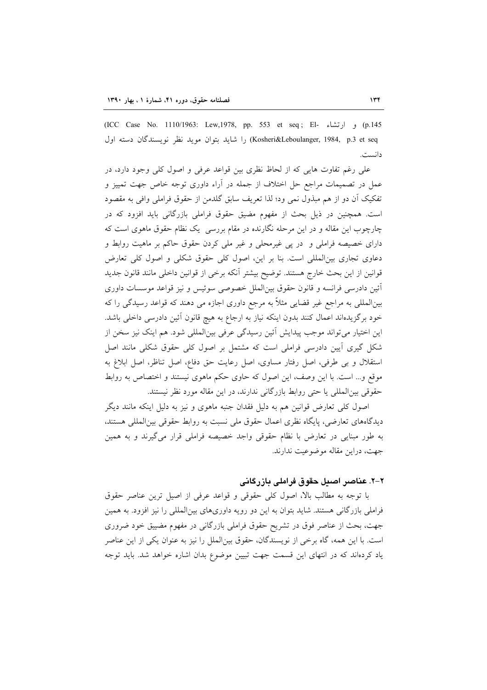145) و ارتشاء -CICC Case No. 1110/1963: Lew,1978, pp. 553 et seq; El) (ICC Kosheri&Leboulanger, 1984, p.3 et seq) را شاید بتوان موید نظر نویسندگان دسته اول دانست.

علی رغم تفاوت هایی که از لحاظ نظری بین قواعد عرفی و اصول کلی وجود دارد، در عمل در تصمیمات مراجع حل اختلاف از جمله در آراء داوری توجه خاص جهت تمییز و تفکیک اَن دو از هم مبذول نمی ود؛ لذا تعریف سابق گلدمن از حقوق فراملی وافی به مقصود است. همچنین در ذیل بحث از مفهوم مضیق حقوق فراملی بازرگانی باید افزود که در چارچوب این مقاله و در این مرحله نگارنده در مقام بررسی یک نظام حقوق ماهوی است که دارای خصیصه فراملی و در پی غیرمحلی و غیر ملی کردن حقوق حاکم بر ماهیت روابط و دعاوی تجاری بینالمللی است. بنا بر این، اصول کلی حقوق شکلی و اصول کلی تعارض قوانین از این بحث خارج هستند. توضیح بیشتر آنکه برخی از قوانین داخلی مانند قانون جدید أئين دادرسي فرانسه و قانون حقوق بين|لملل خصوصي سوئيس و نيز قواعد موسسات داوري بینالمللی به مراجع غیر قضایی مثلاً به مرجع داوری اجازه می دهند که قواعد رسیدگی را که خود برگزیدهاند اعمال کنند بدون اینکه نیاز به ارجاع به هیچ قانون آئین دادرسی داخلی باشد. این اختیار می تواند موجب پیدایش آئین رسیدگی عرفی بین|لمللی شود. هم اینک نیز سخن از شکل گیری آیین دادرسی فراملی است که مشتمل بر اصول کلی حقوق شکلی مانند اصل استقلال و بی طرفی، اصل رفتار مساوی، اصل رعایت حق دفاع، اصل تناظر، اصل ابلاغ به موقع و… است. با این وصف، این اصول که حاوی حکم ماهوی نیستند و اختصاص به روابط حقوقی بین المللی یا حتی روابط بازرگانی ندارند، در این مقاله مورد نظر نیستند.

اصول کلی تعارض قوانین هم به دلیل فقدان جنبه ماهوی و نیز به دلیل اینکه مانند دیگر دیدگاههای تعارضی، پایگاه نظری اعمال حقوق ملی نسبت به روابط حقوقی بین|لمللی هستند، به طور مبنایی در تعارض با نظام حقوقی واجد خصیصه فراملی قرار میگیرند و به همین جهت، دراین مقاله موضوعیت ندارند.

#### ۲–۲. عناصر اصبل حقوق فراملی بازرگانی

با توجه به مطالب بالا، اصول كلَّى حقوقى و قواعد عرفى از اصيل ترين عناصر حقوق فراملی بازرگانی هستند. شاید بتوان به این دو رویه داوریهای بینالمللی را نیز افزود. به همین جهت، بحث از عناصر فوق در تشریح حقوق فراملی بازرگانی در مفهوم مضییق خود ضروری است. با این همه، گاه برخی از نویسندگان، حقوق بینالملل را نیز به عنوان یکی از این عناصر یاد کردهاند که در انتهای این قسمت جهت تبیین موضوع بدان اشاره خواهد شد. باید توجه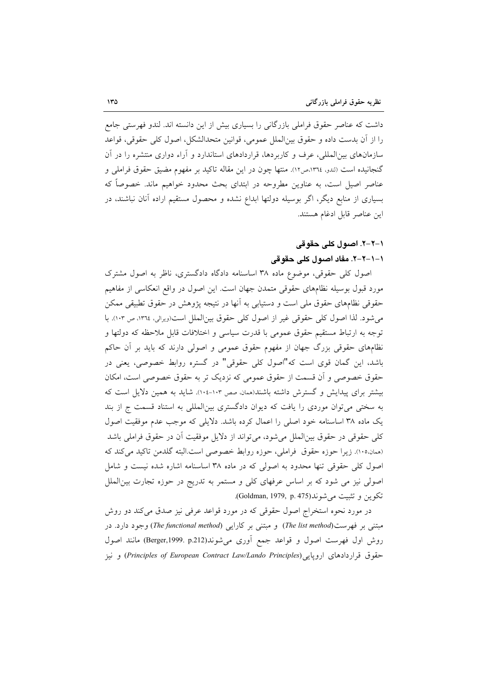داشت که عناصر حقوق فراملی بازرگانی را بسیاری بیش از این دانسته اند. لندو فهرستی جامع را از أن بدست داده و حقوق بين|لملل عمومي، قوانين متحدالشكل، اصول كلي حقوقي، قواعد سازمانهای بین|لمللی، عرف و کاربردها، قراردادهای استاندارد و آراء دواری منتشره را در آن گنجانیده است (لندو، ١٣٦٤،ص١٢). منتها چون در این مقاله تاکید بر مفهوم مضیق حقوق فراملی و عناصر اصیل است، به عناوین مطروحه در ابتدای بحث محدود خواهیم ماند. خصوصاً که بسیاری از منابع دیگر، اگر بوسیله دولتها ابداع نشده و محصول مستقیم اراده آنان نباشند، در اين عناصر قابل ادغام هستند.

## ١-٢-٦. اصول کلي حقوقي

## ١–١–٢-٢. مفاد اصول كلي حقوقي

اصول کلی حقوقی، موضوع ماده ۳۸ اساسنامه دادگاه دادگستری، ناظر به اصول مشترک مورد قبول بوسیله نظامهای حقوقی متمدن جهان است. این اصول در واقع انعکاسی از مفاهیم حقوقی نظامهای حقوق ملی است و دستیابی به آنها در نتیجه پژوهش در حقوق تطبیقی ممکن می شود. لذا اصول کلی حقوقی غیر از اصول کلی حقوق بین الملل است(ویرالی، ١٣٦٤، ص ١٠٣). با توجه به ارتباط مستقیم حقوق عمومی با قدرت سیاسی و اختلافات قابل ملاحظه که دولتها و نظامهای حقوقی بزرگ جهان از مفهوم حقوق عمومی و اصولی دارند که باید بر آن حاکم باشد، این گمان قوی است که"اصول کلی حقوقی" در گستره روابط خصوصی، یعنی در حقوق خصوصی و آن قسمت از حقوق عمومی که نزدیک تر به حقوق خصوصی است، امکان بیشتر برای پیدایش و گسترش داشته باشند(همان صص ۱۰۳-۱۰، شاید به همین دلایل است که به سختی می توان موردی را یافت که دیوان دادگستری بینالمللی به استناد قسمت ج از بند یک ماده ۳۸ اساسنامه خود اصلی را اعمال کرده باشد. دلایلی که موجب عدم موفقیت اصول كلي حقوقي در حقوق بين|لملل مي شود، مي تواند از دلايل موفقيت آن در حقوق فراملي باشد (همان،١٠٥). زيرا حوزه حقوق فراملي، حوزه روابط خصوصي است.البته گلدمن تاكيد مي كند كه اصول کلی حقوقی تنها محدود به اصولی که در ماده ۳۸ اساسنامه اشاره شده نیست و شامل اصولی نیز می شود که بر اساس عرفهای کلی و مستمر به تدریج در حوزه تجارت بین الملل تكوين وتثبيت مي شوند(Goldman, 1979, p. 475).

در مورد نحوه استخراج اصول حقوقی که در مورد قواعد عرفی نیز صدق میکند دو روش مبتنی بر فهرست(The list method) و مبتنی بر کارایی (The functional method) وجود دارد. در روش اول فهرست اصول و قواعد جمع أورى مى شوند(Berger,1999. p.212) مانند اصول حقوق قراردادهای اروپایی (Principles of European Contract Law/Lando Principles) و نیز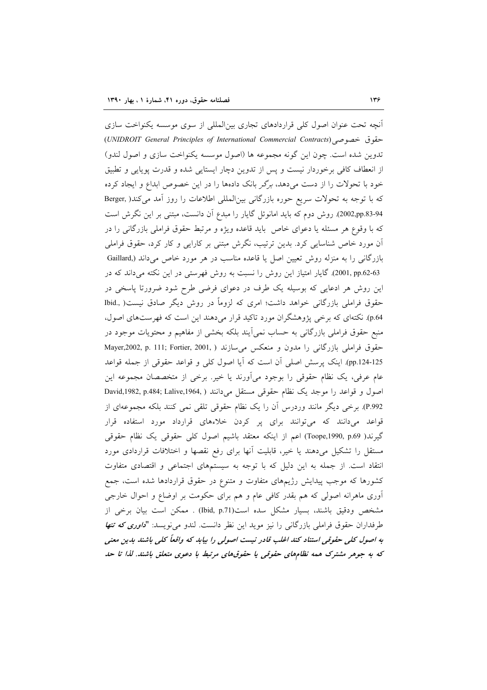آنچه تحت عنوان اصول کلّی قراردادهای تجاری بین|لمللی از سوی موسسه یکنواخت سازی حقوق خصوصي (UNIDROIT General Principles of International Commercial Contracts) تدوین شده است. چون این گونه مجموعه ها (اصول موسسه یکنواخت سازی و اصول لندو) از انعطاف کافی برخوردار نیست و پس از تدوین دچار ایستایی شده و قدرت پوپایی و تطبیق خود با تحولات را از دست میدهد، برگر بانک دادهها را در این خصوص ابداع و ایجاد کرده كه با توجه به تحولات سريع حوره بازرگاني بين المللي اطلاعات را روز أمد مي كند( ,Berger 94-2002,pp.83). روش دوم كه بايد امانوئل گايار را مبدع آن دانست، مبتني بر اين نگرش است که با وقوع هر مسئله یا دعوای خاص باید قاعده ویژه و مرتبط حقوق فراملی بازرگانی را در آن مورد خاص شناسایی کرد. بدین ترتیب، نگرش مبتنی بر کارایی و کار کرد، حقوق فراملی بازرگانی را به منزله روش تعیین اصل یا قاعده مناسب در هر مورد خاص میداند (.Gaillard 2001, pp.62-63). گایار امتیاز این روش را نسبت به روش فهرستی در این نکته می داند که در این روش هر ادعایی که بوسیله یک طرف در دعوای فرضی طرح شود ضرورتا پاسخی در حقوق فراملی بازرگانی خواهد داشت؛ امری که لزوماً در روش دیگر صادق نیست( .Ibid p.64). نکتهای که برخی پژوهشگران مورد تاکید قرار میدهند این است که فهرستهای اصول، منبع حقوق فراملی بازرگانی به حساب نمی اَیند بلکه بخشی از مفاهیم و محتویات موجود در حقوق فراملی بازرگانی را مدون و منعکس می سازند ( Mayer,2002, p. 111; Fortier, 2001, ) pp.124-125). اینک پرسش اصلی آن است که آیا اصول کلی و قواعد حقوقی از جمله قواعد عام عرفي، يک نظام حقوقي را بوجود ميأورند يا خير. برخي از متخصصان مجموعه اين اصول و قواعد را موجد یک نظام حقوقی مستقل می دانند ( ,David,1982, p.484; Lalive,1964 P.992). برخی دیگر مانند وردرس أن را یک نظام حقوقی تلقی نمی کنند بلکه مجموعهای از قواعد میدانند که میتوانند برای پر کردن خلاءهای قرارداد مورد استفاده قرار گیرند( Toope,1990, p.69) اعم از اینکه معتقد باشیم اصول کلی حقوقی یک نظام حقوقی مستقل را تشکیل میدهند یا خیر، قابلیت أنها برای رفع نقصها و اختلافات قراردادی مورد انتقاد است. از جمله به این دلیل که با توجه به سیستمهای اجتماعی و اقتصادی متفاوت کشورها که موجب پیدایش رژیمهای متفاوت و متنوع در حقوق قراردادها شده است، جمع اّوری ماهرانه اصولی که هم بقدر کافی عام و هم برای حکومت بر اوضاع و احوال خارجی مشخص ودقيق باشند، بسيار مشكل سده است(Ibid, p.71) . ممكن است بيان برخي از طرفداران حقوق فراملي بازرگاني را نيز مويد اين نظر دانست. لندو مي نويسد: "*داوري كه تنها* به اصول کلی حقوقی استناد کند اغلب قادر نیست اصولی را بیابد که واقعاً کلی باشند بدین معنی که به جوهر مشترک همه نظامهای حقوقی یا حقوقهای مرتبط با دعوی متعلق باشند. لذا تا حد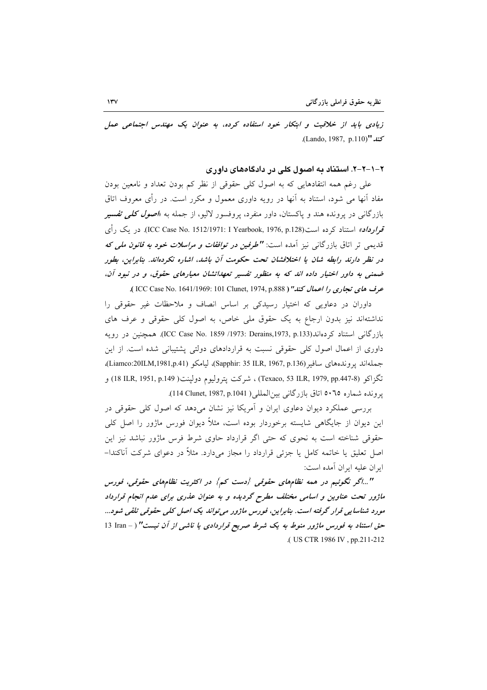زیادی باید از خلاقیت و ابتکار خود استفاده کرده، به عنوان یک مهندس اجتماعی عمل كند "(Lando, 1987, p.110).

۲–۱–۲–۲. استناد به اصول کلی در دادگاههای داوری

علی رغم همه انتقادهایی که به اصول کلی حقوقی از نظر کم بودن تعداد و نامعین بودن مفاد آنها می شود، استناد به آنها در رویه داوری معمول و مکرر است. در رأی معروف اتاق بازرگانی در پرونده هند و پاکستان، داور منفرد، پروفسور لالیو، از جمله به *«اصول کلبی تفسیر* قوا**رداد»** استناد کرده است(ICC Case No. 1512/1971: I Yearbook, 1976, p.128). در یک رأی قدیمی تر اتاق بازرگانی نیز آمده است: **"طر***فین در توافقات و مراسلات خود به قانون ملی که* در نظر دارند رابطه شان یا اختلافشان تحت حکومت آن باشد، اشاره نکردهاند. بنابراین، بطور ضمنی به داور اختیار داده اند که به منظور تفسیر تعهداتشان معیارهای حقوق، و در نبود آن، عرف هاي تجاري را اعمال كند" ( ICC Case No. 1641/1969: 101 Clunet, 1974, p.888 ).

داوران در دعاویی که اختیار رسیدکی بر اساس انصاف و ملاحظات غیر حقوقی را نداشتهاند نیز بدون ارجاع به یک حقوق ملی خاص، به اصول کلی حقوقی و عرف های بازرگانی استناد کردهاند(ICC Case No. 1859 /1973: Derains,1973, p.133). همچنین در رویه داوری از اعمال اصول کلی حقوقی نسبت به قراردادهای دولتی پشتیبانی شده است. از این جملهاند يووندههاي سافير (Sapphir: 35 ILR, 1967, p.136)، ليامكو (Liamco:20ILM,1981,p.41)، تگزاکو (Texaco, 53 ILR, 1979, pp.447-8) ، شرکت پتروليوم دولپنت( 18 ILR, 1951, p.149 ) و يرونده شماره ٥٠٦٥ اتاق بازرگاني بين المللي ( 1941.1987, 114 Clunet, 1987,

بررسی عملکرد دیوان دعاوی ایران و آمریکا نیز نشان می دهد که اصول کلی حقوقی در این دیوان از جایگاهی شایسته برخوردار بوده است، مثلاً دیوان فورس ماژور را اصل کلی حقوقی شناخته است به نحوی که حتی اگر قرارداد حاوی شرط فرس ماژور نباشد نیز این اصل تعلیق یا خاتمه کامل یا جزئی قرارداد را مجاز می دارد. مثلاً در دعوای شرکت آناکندا– ايران عليه ايران آمده است:

"...اگر نگوئیم در همه نظامهای حقوقی {دست کم} در اکثریت نظامهای حقوقی، فورس ماژور تحت عناوین و اسامی مختلف مطرح گردیده و به عنوان عذری برای عدم انجام قرارداد مورد شناسایی قرار گرفته است. بنابراین، فورس ماژور می تواند یک اصل کلی حقوقی تلقی شود... حق استناد به فورس ماژور منوط به یک شرط صریح قراردادی یا ناشبی از آن نیست" (- I3 Iran ذا .( US CTR 1986 IV, pp.211-212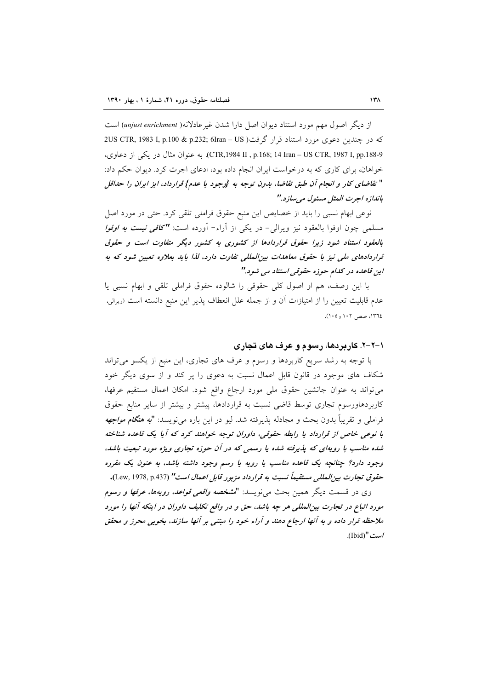از دیگر اصول مهم مورد استناد دیوان اصل دارا شدن غیر عادلانه( unjust enrichment) است كه در چندين دعوى مورد استناد قرار گرفت( Sus CTR, 1983 I, p.100 & p.232; 6Iran – US CTR,1984 II , p.168; 14 Iran – US CTR, 1987 I, pp.188-9). به عنوان مثال در يكي از دعاوى، خواهان، برای کاری که به درخواست ایران انجام داده بود، ادعای اجرت کرد. دیوان حکم داد: " تفاضاي كار و انجام آن طبق تفاضا، بدون توجه به {وجود يا عدم} قرارداد، ايز ايران را حداقل باندازه اجرت المثل مسئول مىسازد."

نوعي ابهام نسبي را بايد از خصايص اين منبع حقوق فراملي تلقي كرد. حتى در مورد اصل مسلمی چون اوفوا بالعقود نیز ویرال<sub>ی</sub>– در یکی از آراء– آورده است: **''کاف***ی نیست به اوفوا* بالعقود استناد شود زیرا حقوق قراردادها از کشوری به کشور دیگر متفاوت است و حقوق قراردادهای ملی نیز با حقوق معاهدات بین المللی تفاوت دارد، لذا باید بعلاوه تعیین شود که به این قاعده در کدام حوزه حقوقی استناد می شود."

با این وصف، هم او اصول کلی حقوقی را شالوده حقوق فراملی تلقی و ابهام نسبی یا عدم قابلیت تعیین را از امتیازات آن و از جمله علل انعطاف پذیر این منبع دانسته است (ویرالی، ١٣٦٤، صص ١٠٢ و١٠٥).

#### ۱–۲–۲. کاربردها، رسوم و عرف های تجاری

با توجه به رشد سریع کاربردها و رسوم و عرف های تجاری، این منبع از یکسو میتواند شکاف های موجود در قانون قابل اعمال نسبت به دعوی را پر کند و از سوی دیگر خود می تواند به عنوان جانشین حقوق ملی مورد ارجاع واقع شود. امکان اعمال مستقیم عرفها، کاربردهاورسوم تجاری توسط قاضی نسبت به قراردادها، پیشتر و بیشتر از سایر منابع حقوق فراملي و تقريباً بدون بحث و مجادله يذيرفته شد. ليو در اين باره ميiويسد: "ل**ب***ه هنگام مواجهه* با نوعی خاص از قرارداد یا رابطه حقوقی، داوران توجه خواهند کرد که آیا یک قاعده شناخته شده مناسب با رویهای که پذیرفته شده یا رسمی که در آن حوزه تجاری ویژه مورد تبعیت باشد، وجود دارد؟ چنانچه یک قاعده مناسب یا رویه یا رسم وجود داشته باشد، به عنون یک مقرره حقوق تجارت بين المللي مستقيماً نسبت به قرارداد مزبور قابل اعمال است" (Lew, 1978, p.437).

وي در قسمت ديگر همين بحث ميiويسد: "*مشخصه واقعي قواعد، رويهها، عرفها و رسوم* مورد اتباع در تجارت بین|لمللی هر چه باشد، حق و در واقع تکلیف داوران در اینکه آنها را مورد ملاحظه قرار داده و به آنها ارجاع دهند و آراء خود را مبتنی بر آنها سازند، بخوبی محرز و محقق /ست "(Ibid).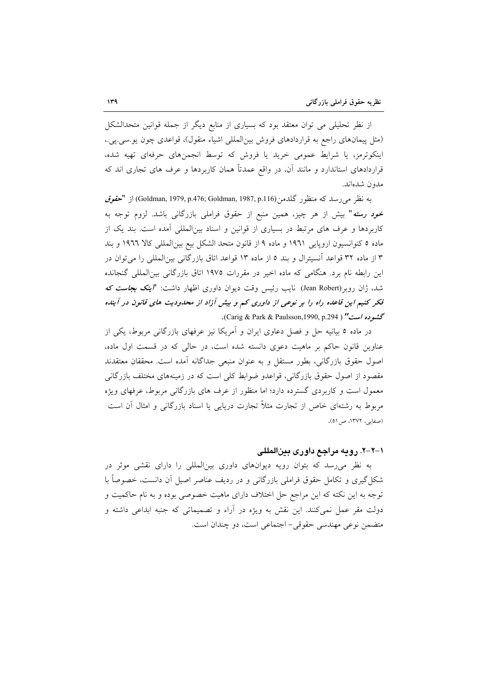از نظر تحلیلی می توان معتقد بود که بسیاری از منابع دیگر از جمله قوانین متحدالشکل (مثل پیمانهای راجع به قراردادهای فروش بین المللی اشیاء منقول)، قواعدی چون یو سی یی.، اینکوترمز، یا شرایط عمومی خرید یا فروش که توسط انجمنهای حرفهای تهیه شده، قراردادهای استاندارد و مانند آن، در واقع عمدتاً همان کاربردها و عرف های تجاری اند که مدون شدهاند.

به نظر می(سد که منظور گلدمن(Goldman, 1979, p.476; Goldman, 1987, p.116) از "ح*قوق* خ*ود رسته*" بیش از هر چیز، همین منبع از حقوق فرامل<sub>ی</sub> بازرگانی باشد. لزوم توجه به کاربردها و عرف های مرتبط در بسیاری از قوانین و اسناد بین|لمللی آمده است. بند یک از ماده ٥ كنوانسيون اروپايي ١٩٦١ و ماده ٩ از قانون متحد الشكل بيع بينالمللي كالا ١٩٦٦ و بند ۱۳ از ماده ۳۲ قواعد آنسیترال و بند ۵ از ماده ۱۳ قواعد اتاق بازرگانی بینالمللی را می توان در این رابطه نام برد. هنگامی که ماده اخیر در مقررات ۱۹۷۵ اتاق بازرگانی بین|لمللی گنجانده شد، ژان روبر(Jean Robert) نایب رئیس وقت دیوان داوری اظهار داشت: *"اینک بجاست که* فکر کنیم این قاعده راه را بر نوعی از داوری کم و بیش آزاد از محدودیت های قانون در آینده گشبوده است" ( Carig & Park & Paulsson,1990, p.294).

در ماده ۵ بیانیه حل و فصل دعاوی ایران و آمریکا نیز عرفهای بازرگانی مربوط، یکی از عناوین قانون حاکم بر ماهیت دعوی دانسته شده است، در حالی که در قسمت اول ماده، اصول حقوق بازرگانی، بطور مستقل و به عنوان منبعی جداگانه أمده است. محققان معتقدند مقصود از اصول حقوق بازرگانی، قواعدو ضوابط کلی است که در زمینههای مختلف بازرگانی معمول است و کاربردی گسترده دارد؛ اما منظور از عرف های بازرگانی مربوط، عرفهای ویژه مربوط به رشتهای خاص از تجارت مثلاً تجارت دریایی یا اسناد بازرگانی و امثال آن است (صفایہ، ۱۳۷۲، ص ۵۱).

#### ۱–۲–۲. رویه مراجع داوری بینالمللی

به نظر میرسد که بتوان رویه دیوانهای داوری بینالمللی را دارای نقشی موثر در شکل گیری و تکامل حقوق فراملی بازرگانی و در ردیف عناصر اصیل آن دانست، خصوصاً با توجه به این نکته که این مراجع حل اختلاف دارای ماهیت خصوصی بوده و به نام حاکمیت و دولت مقر عمل نمیکنند. این نقش به ویژه در آراء و تصمیماتی که جنبه ابداعی داشته و متضمن نوعي مهندسي حقوقي- اجتماعي است، دو چندان است.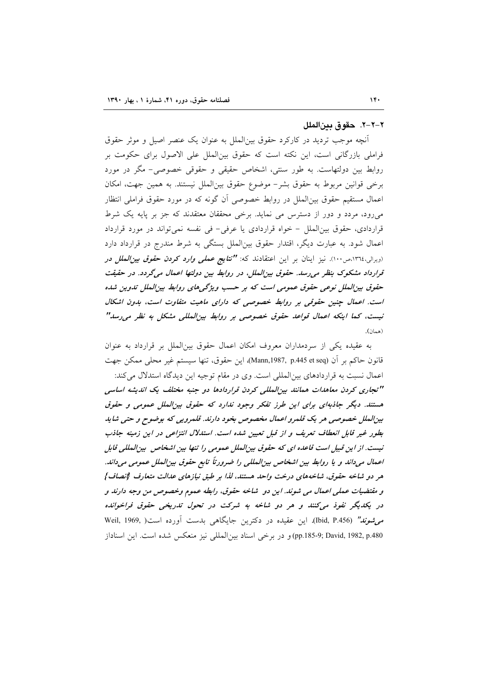#### ٢–٢–٢. حقوق بين الملل

أنچه موجب تردید در کارکرد حقوق بین|لملل به عنوان یک عنصر اصیل و موثر حقوق فراملی بازرگانی است، این نکته است که حقوق بینالملل علی الاصول برای حکومت بر روابط بین دولتهاست. به طور سنتی، اشخاص حقیقی و حقوقی خصوصی– مگر در مورد برخي قوانين مربوط به حقوق بشر– موضوع حقوق بين|لملل نيستند. به همين جهت، امكان اعمال مستقیم حقوق بین|لملل در روابط خصوصی آن گونه که در مورد حقوق فراملی انتظار می رود، مردد و دور از دسترس می نماید. برخی محققان معتقدند که جز بر پایه یک شرط قراردادی، حقوق بین الملل - خواه قراردادی یا عرفی- فی نفسه نمی تواند در مورد قرارداد اعمال شود. به عبارت دیگر، اقتدار حقوق بینالملل بستگی به شرط مندرج در قرارداد دارد (ویرالی،۱۳٦٤،ص۱۰۰). نیز اینان بر این اعتقادند که: **"نتایج عم***لی وارد کردن حقوق بین الملل در* قرارداد مشکوک بنظر می رسد. حقوق بین الملل، در روابط بین دولتها اعمال میگردد. در حقیقت حقوق بین الملل نوعی حقوق عمومی است که بر حسب ویژگی های روابط بین الملل تدوین شده است. اعمال چنین حقوقی بر روابط خصوصی که دارای ماهیت متفاوت است، بدون اشکال نیست، کما اینکه اعمال قواعد حقوق خصوصی بر روابط بینالمللی مشکل به نظر می رسد" (همان).

به عقیده یکی از سردمداران معروف امکان اعمال حقوق بین الملل بر قرارداد به عنوان قانون حاكم بر أن (Mann,1987, p.445 et seq)، اين حقوق، تنها سيستم غير محلي ممكن جهت اعمال نسبت به قراردادهای بینالمللی است. وی در مقام توجیه این دیدگاه استدلال می کند: "تجاری کردن معاهدات همانند بین المللی کردن قراردادها دو جنبه مختلف یک اندیشه اساسی هستند. دیگر جاذبهای برای این طرز تفکر وجود ندارد که حقوق بین الملل عمومی و حقوق بين الملل خصوصي هر يک قلمرو اعمال مخصوص بخود دارند. قلمرويي که بوضوح و حتى شايد بطور غیر قابل انعطاف تعریف و از قبل تعیین شده است. استللال انتزاعی در این زمینه جاذب نیست. از این قبیل است قاعده ای که حقوق بینالملل عمومی را تنها بین اشخاص بینالمللی قابل اعمال میداند و یا روابط بین اشخاص بینالمللی را ضرورتاً تابع حقوق بینالملل عمومی میداند. هر دو شاخه حقوق، شاخههای درخت واحد هستند، لذا بر طبق نیازهای عدالت متعارف {انصاف} و مقتضیات عملی اعمال می شوند. این دو شاخه حقوق، رابطه عموم وخصوص من وجه دارند و در یکدیگر نفوذ میکنند و هر دو شاخه به شرکت در تحول تدریخی حقوق فراخوانده صی شونه" (Ibid, P.456). این عقیده در دکترین جایگاهی بدست آورده است( Weil, 1969, pp.185-9; David, 1982, p.480) و در برخی اسناد بینالمللی نیز منعکس شده است. این اسناداز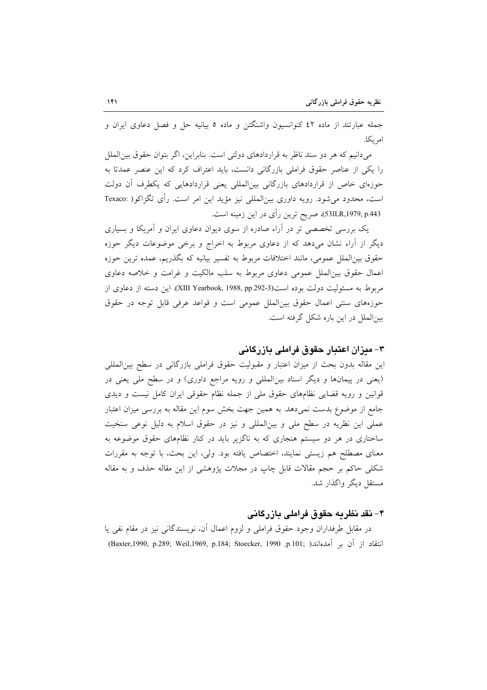جمله عبارتند از ماده ٤٢ كنوانسيون واشنگتن و ماده ٥ بيانيه حل و فصل دعاوى ايران و امر ىكا.

میدانیم که هر دو سند ناظر به قراردادهای دولتی است. بنابراین، اگر بتوان حقوق بین|لملل را یکی از عناصر حقوق فراملی بازرگانی دانست، باید اعتراف کرد که این عنصر عمدتا به حوزهای خاص از قراردادهای بازرگانی بینالمللی یعنی قراردادهایی که یکطرف آن دولت است، محدود میشود. رویه داوری بین|لمللی نیز مؤید این امر است. رأی تگزاکو( :Texaco 53ILR,1979, p.443)، صريح ترين رأي در اين زمينه است.

یک بررسی تخصصی تر در آراء صادره از سوی دیوان دعاوی ایران و آمریکا و بسیاری دیگر از آراء نشان میدهد که از دعاوی مربوط به اخراج و برخی موضوعات دیگر حوزه حقوق بینالملل عمومی، مانند اختلافات مربوط به تفسیر بیانیه که بگذریم، عمده ترین حوزه اعمال حقوق بین|لملل عمومی دعاوی مربوط به سلب مالکیت و غرامت و خلاصه دعاوی مربوط به مسئولیت دولت بوده است(XIII Yearbook, 1988, pp.292-3). این دسته از دعاوی از حوزههای سنتی اعمال حقوق بین الملل عمومی است و قواعد عرفی قابل توجه در حقوق بین الملل در این باره شکل گرفته است.

## ۳– میزان اعتبار حقوق فراملی بازرگانی

این مقاله بدون بحث از میزان اعتبار و مقبولیت حقوق فراملی بازرگانی در سطح بین المللی (یعنی در پیمانها و دیگر اسناد بینالمللی و رویه مراجع داوری) و در سطح ملی یعنی در قوانین و رویه قضایی نظامهای حقوق ملی از جمله نظام حقوقی ایران کامل نیست و دیدی جامع از موضوع بدست نمیدهد. به همین جهت بخش سوم این مقاله به بررسی میزان اعتبار عملی این نظریه در سطح ملی و بینالمللی و نیز در حقوق اسلام به دلیل نوعی سنخیت ساختاری در هر دو سیستم هنجاری که به ناگزیر باید در کنار نظامهای حقوق موضوعه به معنای مصطلح هم زیستی نمایند، اختصاص یافته بود. ولی، این بحث، با توجه به مقررات شکلی حاکم بر حجم مقالات قابل چاپ در مجلات پژوهشی از این مقاله حذف و به مقاله مستقل دیگر واگذار شد.

#### ۴– نقد نظریه حقوق فراملی بازرگانی

در مقابل طرفداران وجود حقوق فراملی و لزوم اعمال أن، نویسندگانی نیز در مقام نفی یا انتقاد از آن بر آمدهاند( ,Baxter,1990, p.289; Weil,1969, p.184; Stoecker, 1990)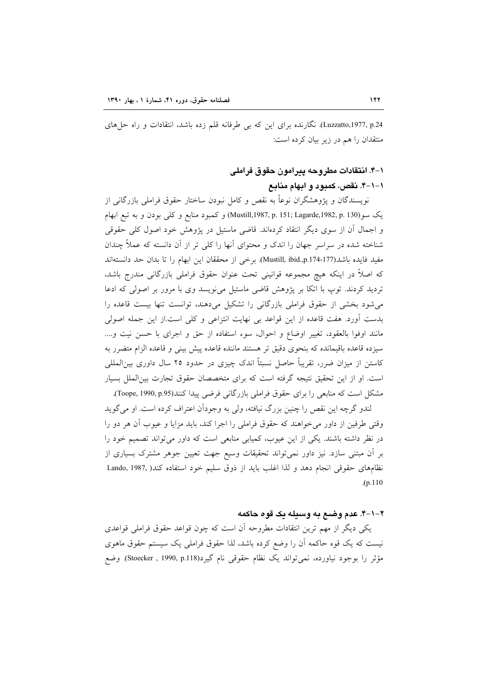Luzzatto,1977, p.24). نگارنده برای این که بی طرفانه قلم زده باشد، انتقادات و راه حلهای منتقدان را هم در زیر بیان کرده است:

## ۱–۴. انتقادات مطروحه پیرامون حقوق فراملی

۱–۱–۴. نقص، کمبود و ابهام منابع

نویسندگان و پژوهشگران نوعاً به نقص و کامل نبودن ساختار حقوق فراملی بازرگانی از يک سو (Mustill,1987, p. 151; Lagarde,1982, p. 130) و كعبود منابع و كلي بودن و به تبع ابهام و اجمال آن از سوی دیگر انتقاد کردهاند. قاضی ماستیل در پژوهش خود اصول کلی حقوقی شناخته شده در سراسر جهان را اندک و محتوای آنها را کلی تر از آن دانسته که عملاً چندان مفيد فايده باشد(Mustill, ibid.,p.174-177). برخي از محققان اين ابهام را تا بدان حد دانستهاند که اصلاً در اینکه هیچ مجموعه قوانینی تحت عنوان حقوق فراملی بازرگانی مندرج باشد، تردید کردند. توپ با اتکا بر پژوهش قاضی ماستیل مینویسد وی با مرور بر اصولی که ادعا می شود بخشی از حقوق فراملی بازرگانی را تشکیل میدهند، توانست تنها بیست قاعده را بدست آورد. هفت قاعده از این قواعد بی نهایت انتزاعی و کلی است.از این جمله اصولی مانند اوفوا بالعقود، تغییر اوضاع و احوال، سوء استفاده از حق و اجرای با حسن نیت و.... سيزده قاعده باقيمانده كه بنحوى دقيق تر هستند ماننده قاعده پيش بيني و قاعده الزام متضرر به کاستن از میزان ضرر، تقریباً حاصل نسبتاً اندک چیزی در حدود ۲۵ سال داوری بین|لمللی است. او از این تحقیق نتیجه گرفته است که برای متخصصان حقوق تجارت بینالملل بسیار مشكل است كه منابعي را براي حقوق فراملي بازرگاني فرضي پيدا كنند(Toope, 1990, p.95).

لندو گرچه این نقص را چنین بزرگ نیافته، ولی به وجوداًن اعتراف کرده است. او می گوید وقتی طرفین از داور می خواهند که حقوق فراملی را اجرا کند، باید مزایا و عیوب آن هر دو را در نظر داشته باشند. یکی از این عیوب، کمیابی منابعی است که داور می تواند تصمیم خود را بر آن مبتنی سازد. نیز داور نمی تواند تحقیقات وسیع جهت تعیین جوهر مشترک بسیاری از نظامهای حقوقی انجام دهد و لذا اغلب باید از ذوق سلیم خود استفاده کند( ,Lando, 1987  $(p.110)$ 

#### ٢-١-۴. عدم وضيع به وسيله يک قوه حاکمه

یکی دیگر از مهم ترین انتقادات مطروحه آن است که چون قواعد حقوق فراملی قواعدی نیست که یک قوه حاکمه اَن را وضع کرده باشد، لذا حقوق فراملی یک سیستم حقوق ماهوی مؤثر را بوجود نیاورده، نمیتواند یک نظام حقوقی نام گیرد(Stoecker , 1990, p.118). وضع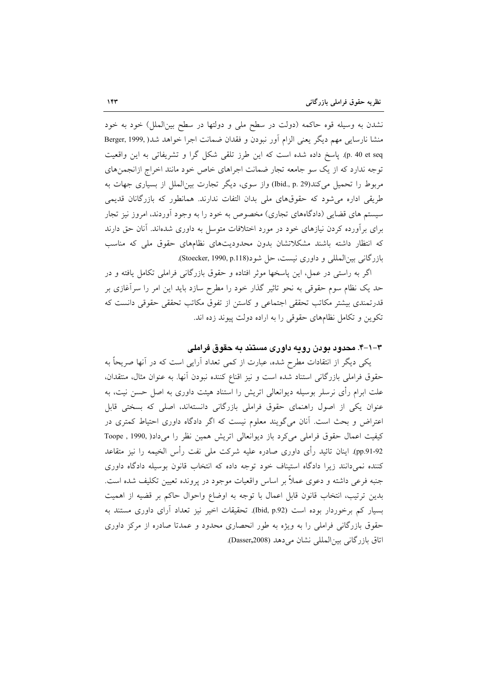نشدن به وسیله قوه حاکمه (دولت در سطح ملی و دولتها در سطح بینالملل) خود به خود منشا نارسايي مهم ديگر يعني الزام أور نبودن و فقدان ضمانت اجرا خواهد شد( Berger, 1999, p. 40 et seq). پاسخ داده شده است كه اين طرز تلقى شكل گرا و تشريفاتى به اين واقعيت توجه ندارد که از یک سو جامعه تجار ضمانت اجراهای خاص خود مانند اخراج ازانجمنهای مربوط را تحمیل میکند(Ibid., p. 29) واز سوی، دیگر تجارت بین|لملل از بسیاری جهات به طریقی اداره می شود که حقوقهای ملی بدان التفات ندارند. همانطور که بازرگانان قدیمی سیستم های قضایی (دادگاههای تجاری) مخصوص به خود را به وجود آوردند، امروز نیز تجار برای برآورده کردن نیازهای خود در مورد اختلافات متوسل به داوری شدهاند. آنان حق دارند که انتظار داشته باشند مشکلاتشان بدون محدودیتهای نظامهای حقوق ملی که مناسب بازرگانی بین المللی و داوری نیست، حل شود(Stoecker, 1990, p.118).

اگر به راستی در عمل، این پاسخها موثر افتاده و حقوق بازرگانی فراملی تکامل یافته و در حد یک نظام سوم حقوقی به نحو تاثیر گذار خود را مطرح سازد باید این امر را سرآغازی بر قدرتمندی بیشتر مکاتب تحققی اجتماعی و کاستن از تفوق مکاتب تحققی حقوقی دانست که تکوین و تکامل نظامهای حقوقی را به اراده دولت پیوند زده اند.

#### ۳–۱–۴. محدود بودن رویه داوری مستند به حقوق فراملی

یکی دیگر از انتقادات مطرح شده، عبارت از کمی تعداد آرایی است که در آنها صریحاً به حقوق فراملی بازرگانی استناد شده است و نیز اقناع کننده نبودن أنها. به عنوان مثال، منتقدان، علت ابرام رأی نرسلر بوسیله دیوانعالی اتریش را استناد هیئت داوری به اصل حسن نیت، به عنوان یکی از اصول راهنمای حقوق فراملی بازرگانی دانستهاند، اصلی که بسختی قابل اعتراض و بحث است. آنان میگویند معلوم نیست که اگر دادگاه داوری احتیاط کمتری در کیفیت اعمال حقوق فراملی میکرد باز دیوانعالی اتریش همین نظر را میداد( ,1990 , Toope pp.91-92). اینان تائید رأی داوری صادره علیه شرکت ملی نفت رأس الخیمه را نیز متقاعد کننده نمیدانند زیرا دادگاه استیناف خود توجه داده که انتخاب قانون بوسیله دادگاه داوری جنبه فرعی داشته و دعوی عملاً بر اساس واقعیات موجود در پرونده تعیین تکلیف شده است. بدین ترتیب، انتخاب قانون قابل اعمال با توجه به اوضاع واحوال حاکم بر قضیه از اهمیت بسیار کم برخوردار بوده است (Ibid, p.92). تحقیقات اخیر نیز تعداد آرای داوری مستند به حقوق بازرگانی فراملی را به ویژه به طور انحصاری محدود و عمدتا صادره از مرکز داوری اتاق بازرگانی بین|لمللی نشان می دهد (Dasser,2008).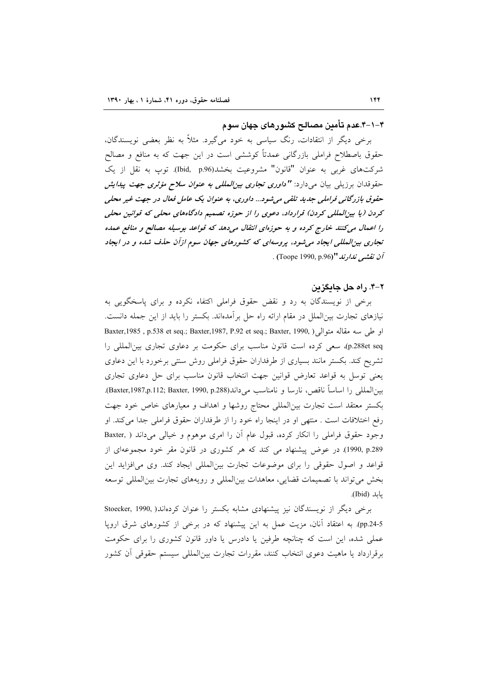۴–۱–۴.عدم تأمین مصالح کشورهای جهان سوم

برخی دیگر از انتقادات، رنگ سیاسی به خود میگیرد. مثلاً به نظر بعضی نویسندگان، حقوق باصطلاح فراملی بازرگانی عمدتاً کوششی است در این جهت که به منافع و مصالح شرکتهای غربی به عنوان "قانون" مشروعیت بخشد(Ibid, p.96). توپ به نقل از یک حقوقدان برزیلی بیان می<ارد: **"** *داوری تجاری بیزالمللی به عنوان سلاح مؤثری جهت پیدایش* حقوق بازرگانی فراملی جدید تلقی می شود... داوری، به عنوان یک عامل فعال در جهت غیر محلی کردن (یا بین|لمللی کردن) قرارداد، دعوی را از حوزه تصمیم دادگاههای محلی که قوانین محلی را اعمال می کنند خارج کرده و به حوزهای انتقال میدهد که قواعد بوسیله مصالح و منافع عمده تجاری بین المللی ایجاد می شود، پروسه ای که کشورهای جهان سوم ازآن حذف شده و در ایجاد آن نقشب ندارند "(Toope 1990, p.96) .

#### ٢-۴. راه حل حايگزين

برخی از نویسندگان به رد و نقض حقوق فراملی اکتفاء نکرده و برای پاسخگویی به نیازهای تجارت بین|لملل در مقام ارائه راه حل برأمدهاند. بکستر را باید از این جمله دانست. او طي سه مقاله متوالي (, Baxter,1985 , p.538 et seq.; Baxter,1987, P.92 et seq.; Baxter, 1990 p.288et seq)، سعی کرده است قانون مناسب برای حکومت بر دعاوی تجاری بین المللی را تشریح کند. بکستر مانند بسیاری از طرفداران حقوق فراملی روش سنتی برخورد با این دعاوی یعنی توسل به قواعد تعارض قوانین جهت انتخاب قانون مناسب برای حل دعاوی تجاری بينالمللي را اساساً ناقص، نارسا و نامناسب ميداند(Baxter,1987,p.112; Baxter, 1990, p.288). بکستر معتقد است تجارت بین|لمللی محتاج روشها و اهداف و معیارهای خاص خود جهت رفع اختلافات است . منتهى او در اينجا راه خود را از طرفداران حقوق فراملي جدا مى كند. او وجود حقوق فراملي را انكار كرده، قبول عام أن را امرى موهوم و خيالي مي داند ( ,Baxter 1990, p.289). در عوض پیشنهاد می کند که هر کشوری در قانون مقر خود مجموعهای از قواعد و اصول حقوقی را برای موضوعات تجارت بین|لمللی ایجاد کند. وی می|فزاید این بخش می تواند با تصمیمات قضایی، معاهدات بین(لمللی و رویههای تجارت بین(لمللی توسعه بايد (Ibid).

برخی دیگر از نویسندگان نیز پیشنهادی مشابه بکستر را عنوان کردهاند( Stoecker, 1990, pp.24-5). به اعتقاد آنان، مزیت عمل به این پیشنهاد که در برخی از کشورهای شرق اروپا عملی شده، این است که چنانچه طرفین یا دادرس یا داور قانون کشوری را برای حکومت برقرارداد یا ماهیت دعوی انتخاب کنند، مقررات تجارت بین|لمللی سیستم حقوقی أن کشور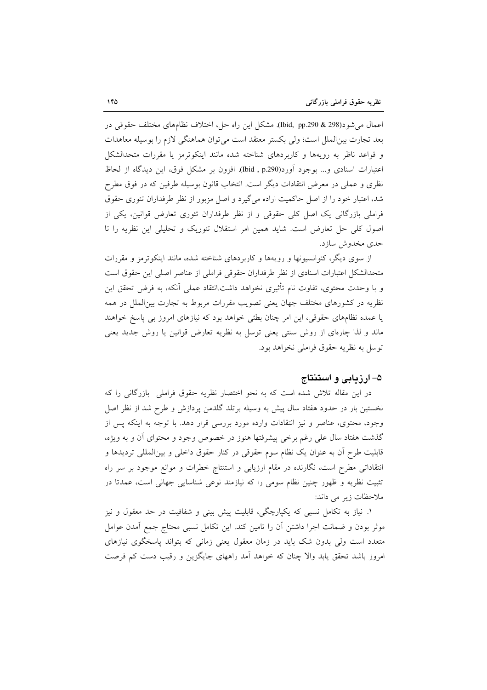اعمال می شود(298 & 298.pp) (Ibid, pp). مشكل این راه حل، اختلاف نظامهای مختلف حقوقی در بعد تجارت بین|لملل است؛ ولی بکستر معتقد است می توان هماهنگی لازم را بوسیله معاهدات و قواعد ناظر به رويهها و كاربردهاى شناخته شده مانند اينكوترمز يا مقررات متحدالشكل اعتبارات اسنادی و… بوجود اَورد(Ibid , p.290). افزون بر مشکل فوق، این دیدگاه از لحاظ نظري و عملي در معرض انتقادات ديگر است. انتخاب قانون بوسيله طرفين كه در فوق مطرح شد، اعتبار خود را از اصل حاکمیت اراده میگیرد و اصل مزبور از نظر طرفداران تئوری حقوق فراملی بازرگانی یک اصل کلی حقوقی و از نظر طرفداران تئوری تعارض قوانین، یکی از اصول کلی حل تعارض است. شاید همین امر استقلال تئوریک و تحلیلی این نظریه را تا حدي مخدوش سازد.

از سوی دیگر، کنوانسیونها و رویهها و کاربردهای شناخته شده، مانند اینکوترمز و مقررات متحدالشكل اعتبارات اسنادي از نظر طرفداران حقوقي فراملي از عناصر اصلي اين حقوق است و با وحدت محتوى، تفاوت نام تأثيري نخواهد داشت.انتقاد عملي أنكه، به فرض تحقق اين نظریه در کشورهای مختلف جهان یعنی تصویب مقررات مربوط به تجارت بینالملل در همه یا عمده نظامهای حقوقی، این امر چنان بطئی خواهد بود که نیازهای امروز بی پاسخ خواهند ماند و لذا چارهای از روش سنتی یعنی توسل به نظریه تعارض قوانین یا روش جدید یعنی توسل به نظریه حقوق فراملی نخواهد بود.

#### ۵– ارزمایی و استنتاج

در این مقاله تلاش شده است که به نحو اختصار نظریه حقوق فراملی بازرگانی را که نخستین بار در حدود هفتاد سال پیش به وسیله برتلد گلدمن پردازش و طرح شد از نظر اصل وجود، محتوى، عناصر و نيز انتقادات وارده مورد بررسي قرار دهد. با توجه به اينكه پس از گذشت هفتاد سال علی رغم برخی پیشرفتها هنوز در خصوص وجود و محتوای آن و به ویژه، قابلیت طرح اّن به عنوان یک نظام سوم حقوقی در کنار حقوق داخلی و بین|لمللی تردیدها و انتقاداتی مطرح است، نگارنده در مقام ارزیابی و استنتاج خطرات و موانع موجود بر سر راه تثبیت نظریه و ظهور چنین نظام سومی را که نیازمند نوعی شناسایی جهانی است، عمدتا در ملاحظات زير مي داند:

۱. نیاز به تکامل نسبی که یکپارچگی، قابلیت پیش بینی و شفافیت در حد معقول و نیز موثر بودن و ضمانت اجرا داشتن آن را تامین کند. این تکامل نسبی محتاج جمع آمدن عوامل متعدد است ولی بدون شک باید در زمان معقول یعنی زمانی که بتواند پاسخگوی نیازهای امروز باشد تحقق یابد والا چنان که خواهد اّمد راههای جایگزین و رقیب دست کم فرصت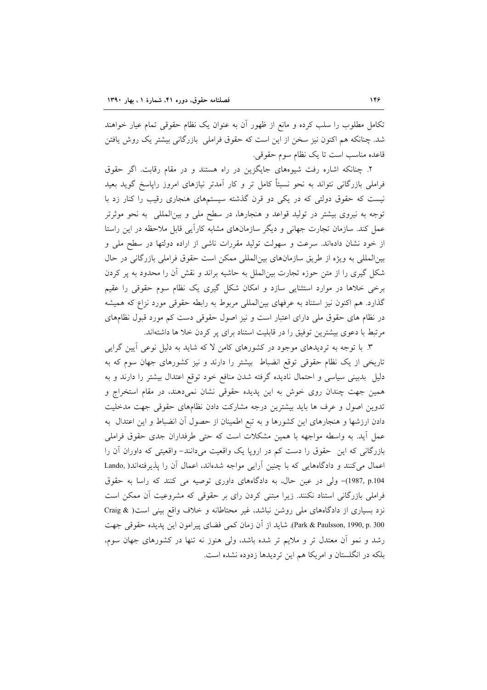تکامل مطلوب را سلب کرده و مانع از ظهور آن به عنوان یک نظام حقوقی تمام عیار خواهند شد. چنانکه هم اکنون نیز سخن از این است که حقوق فراملی بازرگانی بیشتر یک روش یافتن قاعده مناسب است تا یک نظام سوم حقوقی.

۲. چنانکه اشاره رفت شیوههای جایگزین در راه هستند و در مقام رقابت. اگر حقوق فراملی بازرگانی نتواند به نحو نسبتاً کامل تر و کار آمدتر نیازهای امروز راپاسخ گوید بعید نیست که حقوق دولتی که در یکی دو قرن گذشته سیستمهای هنجاری رقیب را کنار زد با توجه به نیروی بیشتر در تولید قواعد و هنجارها، در سطح ملی و بین|لمللی ً به نحو موثرتر عمل کند. سازمان تجارت جهانی و دیگر سازمانهای مشابه کارآیی قابل ملاحظه در این راستا از خود نشان دادهاند. سرعت و سهولت تولید مقررات ناشی از اراده دولتها در سطح ملی و بین المللی به ویژه از طریق سازمانهای بین المللی ممکن است حقوق فراملی بازرگانی در حال شکل گیری را از متن حوزه تجارت بین|لملل به حاشیه براند و نقش آن را محدود به پر کردن برخی خلاها در موارد استثنایی سازد و امکان شکل گیری یک نظام سوم حقوقی را عقیم گذارد. هم اکنون نیز استناد به عرفهای بینالمللی مربوط به رابطه حقوقی مورد نزاع که همیشه در نظام های حقوق ملی دارای اعتبار است و نیز اصول حقوقی دست کم مورد قبول نظامهای مرتبط با دعوی بیشترین توفیق را در قابلیت استناد برای پر کردن خلا ها داشتهاند.

۳. با توجه به تردیدهای موجود در کشورهای کامن لا که شاید به دلیل نوعی آیین گرایی تاریخی از یک نظام حقوقی توقع انضباط بیشتر را دارند و نیز کشورهای جهان سوم که به دلیل بدبینی سیاسی و احتمال نادیده گرفته شدن منافع خود توقع اعتدال بیشتر را دارند و به همین جهت چندان روی خوش به این پدیده حقوقی نشان نمیدهند، در مقام استخراج و تدوین اصول و عرف ها باید بیشترین درجه مشارکت دادن نظامهای حقوقی جهت مدخلیت دادن ارزشها و هنجارهای این کشورها و به تبع اطمینان از حصول آن انضباط و این اعتدال به عمل أيد. به واسطه مواجهه با همين مشكلات است كه حتى طرفداران جدى حقوق فراملي بازرگانی که این حقوق را دست کم در اروپا یک واقعیت میدانند- واقعیتی که داوران اَن را اعمال می کنند و دادگاههایی که با چنین آرایی مواجه شدهاند، اعمال آن را پذیرفتهاند( ,Lando 1987, p.104)- ولي در عين حال، به دادگاههاي داوري توصيه مي كنند كه راسا به حقوق فراملی بازرگانی استناد نکنند. زیرا مبتنی کردن رای بر حقوقی که مشروعیت آن ممکن است نزد بسیاری از دادگاههای ملی روشن نباشد، غیر محتاطانه و خلاف واقع بینی است( & Craig Park & Paulsson, 1990, p. 300). شايد از آن زمان كمي فضاى پيرامون اين پديده حقوقي جهت رشد و نمو آن معتدل تر و ملایم تر شده باشد، ولی هنوز نه تنها در کشورهای جهان سوم، بلکه در انگلستان و امریکا هم این تردیدها زدوده نشده است.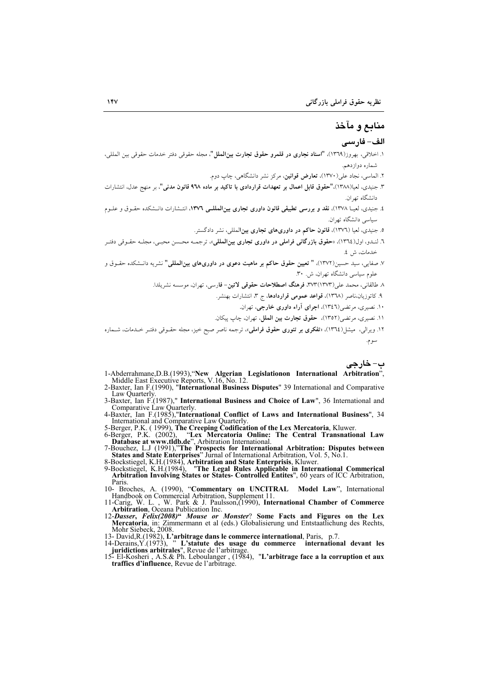# منابع و مآخذ

#### الف- فارسي

ب- خارجے

- ۱. اخلاقی، بهروز(۱۳٦۹)، **"اسناد نجاری در قلمرو حقوق تجارت بینالملل"**، مجله حقوقی دفتر خدمات حقوقی بین المللی، شماره دوازدهم.
	- ۲. الماسی، نجاد علی (۱۳۷۰)، **تعارض قوانین**، مرکز نشر دانشگاهی، چاپ دوم.
- ۳. جنیدی، لعیا(۱۳۸۸)،"حقوق قابل اعمال بر تعهدات قراردادی با تاکید بر ماده ۹۳۸ قانون مدنی"، بر منهج عدل، انتشارات دانشگاه تهران.
- ٤. جنیدی، لعیـا ۱۳۷۸). **نقد و بررسی تطبیقی قانون داوری تجاری بین|لمللــی ۱۳۷**٦، انتـشارات دانــشکده حقــوق و علــوم سیاسی دانشگاه تهران.
	- ۵. جنیدی، لعیا (۱۳۷٦)، قانون حاکم در داوریهای تجاری بینالمللی، نشر دادگستر.
- ٦. لنـدو، اول(١٣٦٤)، «حقوق بازرگاني فراملي در داوري تجاري بين|لمللي»، ترجمــه محـسن محبـي، مجلــه حقــوقي دفتـر خدمات، ش ٤.
- ٧. صفایی، سید حسین(١٣٧٢)، **" تعیین حقوق حاکم بر ماهیت دعوی در داوریهای بینالمللی"** نشریه دانـشکده حقــوق و علوم سیاسی دانشگاه تهران، ش. ۳۰.
	- ٨ طالقانی، محمد علی(١٣٧٣)٣٧٣. فرهنگ اصطلاحات حقوقی لاتین- فارسی، تهران، موسسه نشریلدا.
		- ٩. كاتوزيان،ناصر (١٣٦٨)، قواعد عمومي قراردادها، ج ٣، انتشارات بهنشر.
			- ۱۰. نصیری، مرتضی(۱۳٤٦)، اجرای آراء داوری خارجی، تهران.
		- ١١. نصيري، مرتضى(١٣٥٢)، حقوق تجارت بين الملل، تهران، چاپ پيكان.
- ۱۲. ویرالی، میشل(۱۳٦٤)، «**تفکری بر تئوری حقوق فراملی**»، ترجمه ناصر صبح خیز، مجله حقـوقی دفتـر خـدمات، شــماره سوم.
- 1-Abderrahmane, D.B.(1993), "New Algerian Legislation international Arbitration",<br>Middle East Executive Reports, V.16, No. 12.<br>2-Baxter, Ian F.(1990), "International Business Disputes" 39 International and Comparative
- Law Ouarterly
- 3-Baxter, Ian F.(1987)," International Business and Choice of Law", 36 International and Comparative Law Quarterly.
- 4-Baxter, Ian F.(1985),"International Conflict of Laws and International Business", 34 International and Comparative Law Ouarterly.
- 
- 
- 
- 
- International and Comparative Law Quarterly.<br>
5-Berger, P.K. (1999), The Creeping Codification of the Lex Mercatoria, Kluwer.<br>
6-Berger, P.K. (2002), "Lex Mercatoria Online: The Central Transnational Law<br>
Database at www.t Paris
- 
- 
- Paris.<br>
10- Broches, A. (1990), "Commentary on UNCITRAL Model Law", International<br>
Handbook on Commercial Arbitration, Supplement 11.<br>
1-Carig, W. L., W. Park & J. Paulsson, (1990), International Chamber of Commerce<br>
Arbit
- 
- 
-